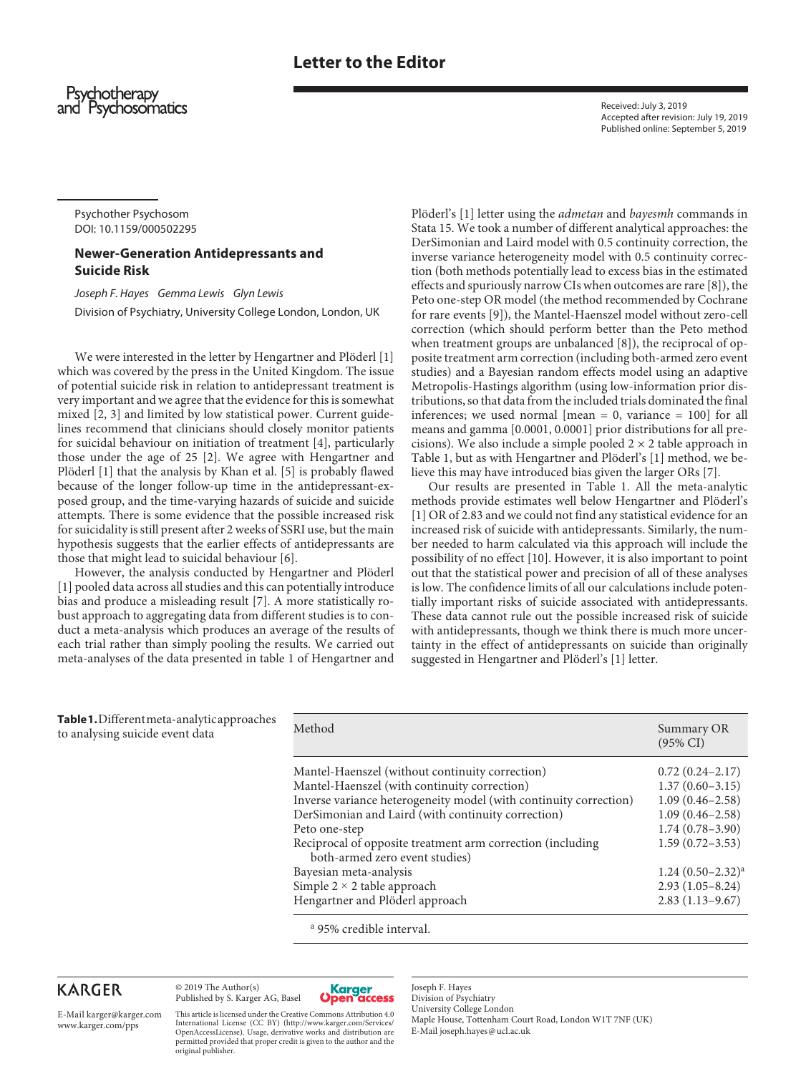## **Letter to the Editor**

Psychotherapy and Psychosomatics

Received: July 3, 2019 Accepted after revision: July 19, 2019 Published online: September 5, 2019

Psychother Psychosom DOI: 10.1159/000502295

### **Newer-Generation Antidepressants and Suicide Risk**

*Joseph F. Hayes Gemma Lewis Glyn Lewis*  Division of Psychiatry, University College London, London, UK

We were interested in the letter by Hengartner and Plöderl [1] which was covered by the press in the United Kingdom. The issue of potential suicide risk in relation to antidepressant treatment is very important and we agree that the evidence for this is somewhat mixed [2, 3] and limited by low statistical power. Current guidelines recommend that clinicians should closely monitor patients for suicidal behaviour on initiation of treatment [4], particularly those under the age of 25 [2]. We agree with Hengartner and Plöderl [1] that the analysis by Khan et al. [5] is probably flawed because of the longer follow-up time in the antidepressant-exposed group, and the time-varying hazards of suicide and suicide attempts. There is some evidence that the possible increased risk for suicidality is still present after 2 weeks of SSRI use, but the main hypothesis suggests that the earlier effects of antidepressants are those that might lead to suicidal behaviour [6].

However, the analysis conducted by Hengartner and Plöderl [1] pooled data across all studies and this can potentially introduce bias and produce a misleading result [7]. A more statistically robust approach to aggregating data from different studies is to conduct a meta-analysis which produces an average of the results of each trial rather than simply pooling the results. We carried out meta-analyses of the data presented in table 1 of Hengartner and

Plöderl's [1] letter using the *admetan* and *bayesmh* commands in Stata 15. We took a number of different analytical approaches: the DerSimonian and Laird model with 0.5 continuity correction, the inverse variance heterogeneity model with 0.5 continuity correction (both methods potentially lead to excess bias in the estimated effects and spuriously narrow CIs when outcomes are rare [8]), the Peto one-step OR model (the method recommended by Cochrane for rare events [9]), the Mantel-Haenszel model without zero-cell correction (which should perform better than the Peto method when treatment groups are unbalanced [8]), the reciprocal of opposite treatment arm correction (including both-armed zero event studies) and a Bayesian random effects model using an adaptive Metropolis-Hastings algorithm (using low-information prior distributions, so that data from the included trials dominated the final inferences; we used normal  $[mean = 0, variance = 100]$  for all means and gamma [0.0001, 0.0001] prior distributions for all precisions). We also include a simple pooled  $2 \times 2$  table approach in Table 1, but as with Hengartner and Plöderl's [1] method, we believe this may have introduced bias given the larger ORs [7].

Our results are presented in Table 1. All the meta-analytic methods provide estimates well below Hengartner and Plöderl's [1] OR of 2.83 and we could not find any statistical evidence for an increased risk of suicide with antidepressants. Similarly, the number needed to harm calculated via this approach will include the possibility of no effect [10]. However, it is also important to point out that the statistical power and precision of all of these analyses is low. The confidence limits of all our calculations include potentially important risks of suicide associated with antidepressants. These data cannot rule out the possible increased risk of suicide with antidepressants, though we think there is much more uncertainty in the effect of antidepressants on suicide than originally suggested in Hengartner and Plöderl's [1] letter.

**Table 1.** Different meta-analytic approaches to analysing suicide event data

| Method                                                            | Summary OR<br>$(95\% \text{ CI})$ |
|-------------------------------------------------------------------|-----------------------------------|
| Mantel-Haenszel (without continuity correction)                   | $0.72(0.24 - 2.17)$               |
| Mantel-Haenszel (with continuity correction)                      | $1.37(0.60 - 3.15)$               |
| Inverse variance heterogeneity model (with continuity correction) | $1.09(0.46 - 2.58)$               |
| DerSimonian and Laird (with continuity correction)                | $1.09(0.46 - 2.58)$               |
| Peto one-step                                                     | $1.74(0.78 - 3.90)$               |
| Reciprocal of opposite treatment arm correction (including        | $1.59(0.72 - 3.53)$               |
| both-armed zero event studies)                                    |                                   |
| Bayesian meta-analysis                                            | $1.24(0.50-2.32)^{a}$             |
| Simple $2 \times 2$ table approach                                | $2.93(1.05-8.24)$                 |
| Hengartner and Plöderl approach                                   | $2.83(1.13-9.67)$                 |

a 95% credible interval.

# **KARGER**

E-Mail karger@karger.com www.karger.com/pps

© 2019 The Author(s) Published by S. Karger AG, Basel

original publisher.

This article is licensed under the Creative Commons Attribution 4.0 International License (CC BY) (http://www.karger.com/Services/ OpenAccessLicense). Usage, derivative works and distribution are permitted provided that proper credit is given to the author and the



Joseph F. Hayes Division of Psychiatry University College London Maple House, Tottenham Court Road, London W1T 7NF (UK) E-Mail joseph.hayes@ucl.ac.uk